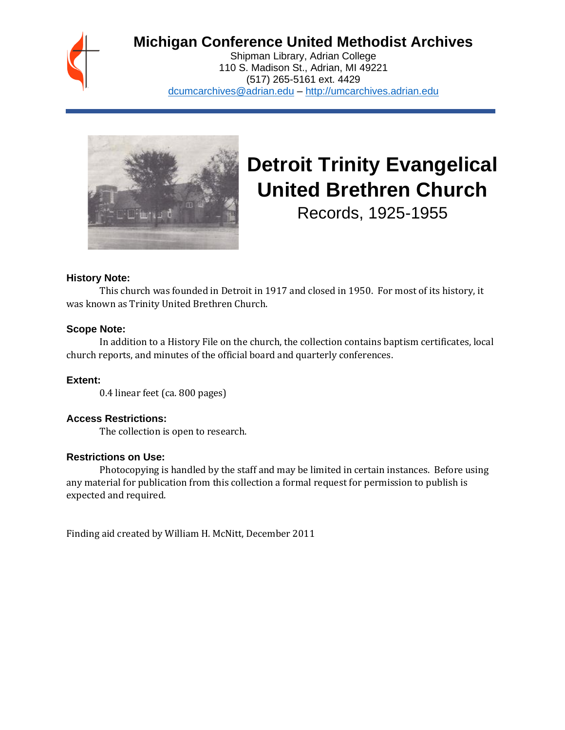

# **Michigan Conference United Methodist Archives**

Shipman Library, Adrian College 110 S. Madison St., Adrian, MI 49221 (517) 265-5161 ext. 4429 [dcumcarchives@adrian.edu](mailto:dcumcarchives@adrian.edu) – [http://umcarchives.adrian.edu](http://umcarchives.adrian.edu/)



# **Detroit Trinity Evangelical United Brethren Church**

Records, 1925-1955

#### **History Note:**

This church was founded in Detroit in 1917 and closed in 1950. For most of its history, it was known as Trinity United Brethren Church.

# **Scope Note:**

In addition to a History File on the church, the collection contains baptism certificates, local church reports, and minutes of the official board and quarterly conferences.

# **Extent:**

0.4 linear feet (ca. 800 pages)

# **Access Restrictions:**

The collection is open to research.

#### **Restrictions on Use:**

Photocopying is handled by the staff and may be limited in certain instances. Before using any material for publication from this collection a formal request for permission to publish is expected and required.

Finding aid created by William H. McNitt, December 2011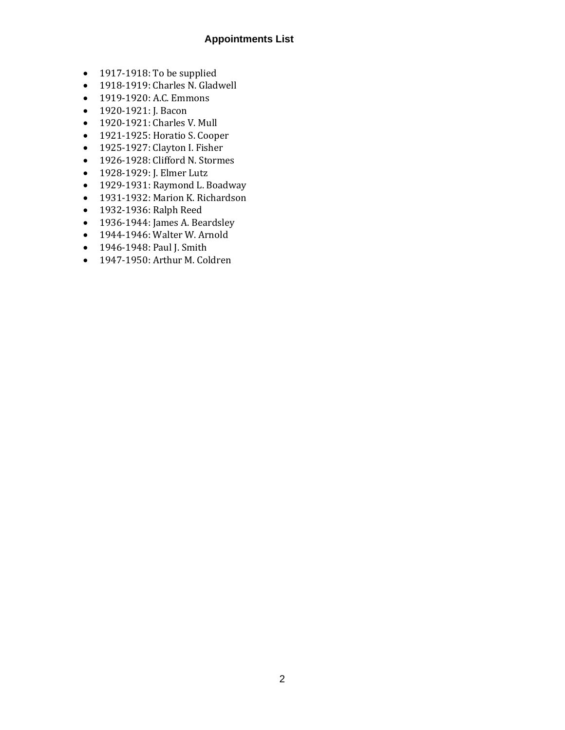### **Appointments List**

- 1917-1918: To be supplied
- 1918-1919: Charles N. Gladwell
- 1919-1920: A.C. Emmons
- 1920-1921: J. Bacon
- 1920-1921: Charles V. Mull
- 1921-1925: Horatio S. Cooper
- 1925-1927: Clayton I. Fisher
- 1926-1928: Clifford N. Stormes
- 1928-1929: J. Elmer Lutz
- 1929-1931: Raymond L. Boadway
- 1931-1932: Marion K. Richardson
- 1932-1936: Ralph Reed
- 1936-1944: James A. Beardsley
- 1944-1946: Walter W. Arnold
- 1946-1948: Paul J. Smith
- 1947-1950: Arthur M. Coldren